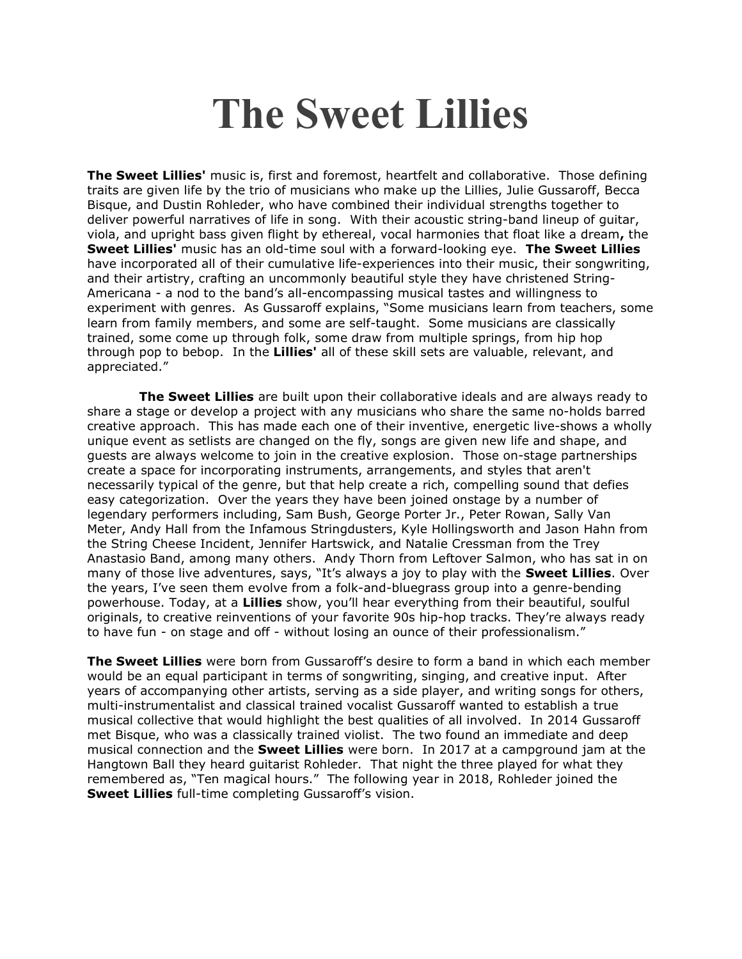## The Sweet Lillies

**The Sweet Lillies'** music is, first and foremost, heartfelt and collaborative. Those defining traits are given life by the trio of musicians who make up the Lillies, Julie Gussaroff, Becca Bisque, and Dustin Rohleder, who have combined their individual strengths together to deliver powerful narratives of life in song. With their acoustic string-band lineup of guitar, viola, and upright bass given flight by ethereal, vocal harmonies that float like a dream, the Sweet Lillies' music has an old-time soul with a forward-looking eye. The Sweet Lillies have incorporated all of their cumulative life-experiences into their music, their songwriting, and their artistry, crafting an uncommonly beautiful style they have christened String-Americana - a nod to the band's all-encompassing musical tastes and willingness to experiment with genres. As Gussaroff explains, "Some musicians learn from teachers, some learn from family members, and some are self-taught. Some musicians are classically trained, some come up through folk, some draw from multiple springs, from hip hop through pop to bebop. In the Lillies' all of these skill sets are valuable, relevant, and appreciated."

The Sweet Lillies are built upon their collaborative ideals and are always ready to share a stage or develop a project with any musicians who share the same no-holds barred creative approach. This has made each one of their inventive, energetic live-shows a wholly unique event as setlists are changed on the fly, songs are given new life and shape, and guests are always welcome to join in the creative explosion. Those on-stage partnerships create a space for incorporating instruments, arrangements, and styles that aren't necessarily typical of the genre, but that help create a rich, compelling sound that defies easy categorization. Over the years they have been joined onstage by a number of legendary performers including, Sam Bush, George Porter Jr., Peter Rowan, Sally Van Meter, Andy Hall from the Infamous Stringdusters, Kyle Hollingsworth and Jason Hahn from the String Cheese Incident, Jennifer Hartswick, and Natalie Cressman from the Trey Anastasio Band, among many others. Andy Thorn from Leftover Salmon, who has sat in on many of those live adventures, says, "It's always a joy to play with the Sweet Lillies. Over the years, I've seen them evolve from a folk-and-bluegrass group into a genre-bending powerhouse. Today, at a Lillies show, you'll hear everything from their beautiful, soulful originals, to creative reinventions of your favorite 90s hip-hop tracks. They're always ready to have fun - on stage and off - without losing an ounce of their professionalism."

**The Sweet Lillies** were born from Gussaroff's desire to form a band in which each member would be an equal participant in terms of songwriting, singing, and creative input. After years of accompanying other artists, serving as a side player, and writing songs for others, multi-instrumentalist and classical trained vocalist Gussaroff wanted to establish a true musical collective that would highlight the best qualities of all involved. In 2014 Gussaroff met Bisque, who was a classically trained violist. The two found an immediate and deep musical connection and the **Sweet Lillies** were born. In 2017 at a campground jam at the Hangtown Ball they heard guitarist Rohleder. That night the three played for what they remembered as, "Ten magical hours." The following year in 2018, Rohleder joined the Sweet Lillies full-time completing Gussaroff's vision.